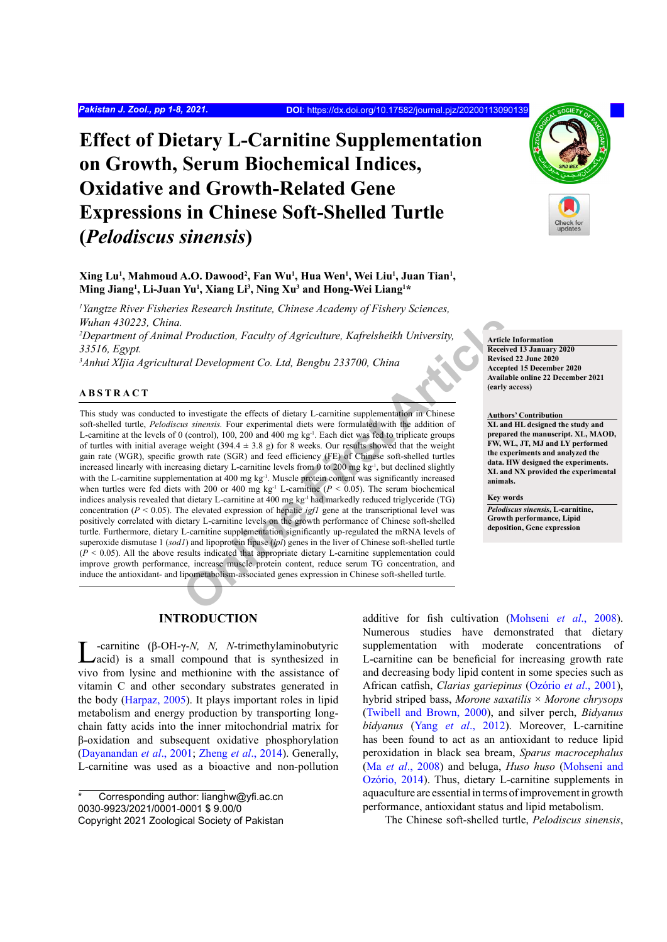# **Effect of Dietary L-Carnitine Supplementation on Growth, Serum Biochemical Indices, Oxidative and Growth-Related Gene Expressions in Chinese Soft-Shelled Turtle (***Pelodiscus sinensis***)**

**Xing Lu1 , Mahmoud A.O. Dawood2 , Fan Wu1 , Hua Wen1 , Wei Liu1 , Juan Tian1 , Ming Jiang1 , Li-Juan Yu1 , Xiang Li3 , Ning Xu3 and Hong-Wei Liang1 \***

*1 Yangtze River Fisheries Research Institute, Chinese Academy of Fishery Sciences, Wuhan 430223, China.*

*2 Department of Animal Production, Faculty of Agriculture, Kafrelsheikh University, 33516, Egypt.*

*3 Anhui XIjia Agricultural Development Co. Ltd, Bengbu 233700, China*

# **ABSTRACT**

*Production, Faculty of Agriculture, Kafrelsheikh University,*<br>
rad Development Co. Ltd, Bengbu 233700, China<br>
acception and the decretive acceptions of the previse<br>
acception and 400 mg kg<sup>-1</sup>. Cannitine supplementation i This study was conducted to investigate the effects of dietary L-carnitine supplementation in Chinese soft-shelled turtle, *Pelodiscus sinensis.* Four experimental diets were formulated with the addition of L-carnitine at the levels of 0 (control), 100, 200 and 400 mg kg<sup>-1</sup>. Each diet was fed to triplicate groups of turtles with initial average weight (394.4  $\pm$  3.8 g) for 8 weeks. Our results showed that the weight gain rate (WGR), specific growth rate (SGR) and feed efficiency (FE) of Chinese soft-shelled turtles increased linearly with increasing dietary L-carnitine levels from 0 to 200 mg kg<sup>-1</sup>, but declined slightly with the L-carnitine supplementation at 400 mg kg<sup>-1</sup>. Muscle protein content was significantly increased when turtles were fed diets with 200 or 400 mg kg<sup>-1</sup> L-carnitine ( $P < 0.05$ ). The serum biochemical indices analysis revealed that dietary L-carnitine at 400 mg kg-1 had markedly reduced triglyceride (TG) concentration ( $P < 0.05$ ). The elevated expression of hepatic *igf1* gene at the transcriptional level was positively correlated with dietary L-carnitine levels on the growth performance of Chinese soft-shelled turtle. Furthermore, dietary L-carnitine supplementation significantly up-regulated the mRNA levels of superoxide dismutase 1 (*sod1*) and lipoprotein lipase (*lpl*) genes in the liver of Chinese soft-shelled turtle  $(P < 0.05)$ . All the above results indicated that appropriate dietary L-carnitine supplementation could improve growth performance, increase muscle protein content, reduce serum TG concentration, and induce the antioxidant- and lipometabolism-associated genes expression in Chinese soft-shelled turtle.

**Article Information Received 13 January 2020 Revised 22 June 2020 Accepted 15 December 2020 Available online 22 December 2021 (early access)**

**Authors' Contribution XL and HL designed the study and prepared the manuscript. XL, MAOD, FW, WL, JT, MJ and LY performed the experiments and analyzed the data. HW designed the experiments. XL and NX provided the experimental animals.** 

#### **Key words**

*Pelodiscus sinensis***, L-carnitine, Growth performance, Lipid deposition, Gene expression**

# **INTRODUCTION**

L-carnitine (β-OH-γ-*N, N, N*-trimethylaminobutyric acid) is a small compound that is synthesized in vivo from lysine and methionine with the assistance of vitamin C and other secondary substrates generated in the body ([Harpaz, 2005](#page-6-0)). It plays important roles in lipid metabolism and energy production by transporting longchain fatty acids into the inner mitochondrial matrix for β-oxidation and subsequent oxidative phosphorylation [\(Dayanandan](#page-6-1) *et al*., 2001; Zheng *et al*[., 2014](#page-7-0)). Generally, L-carnitine was used as a bioactive and non-pollution

additive for fish cultivation ([Mohseni](#page-6-2) *et al*., 2008). Numerous studies have demonstrated that dietary supplementation with moderate concentrations of L-carnitine can be beneficial for increasing growth rate and decreasing body lipid content in some species such as African catfish, *Clarias gariepinus* (Ozório *et al*., 2001), hybrid striped bass, *Morone saxatilis* × *Morone chrysops*  [\(Twibell and Brown, 2000\)](#page-7-1), and silver perch, *Bidyanus bidyanus* (Yang *et al*[., 2012](#page-7-2)). Moreover, L-carnitine has been found to act as an antioxidant to reduce lipid peroxidation in black sea bream, *Sparus macrocephalus*  (Ma *et al*[., 2008\)](#page-6-3) and beluga, *Huso huso* (Mohseni and Ozório, 2014). Thus, dietary L-carnitine supplements in aquaculture are essential in terms of improvement in growth performance, antioxidant status and lipid metabolism.

The Chinese soft-shelled turtle, *Pelodiscus sinensis*,



Corresponding author: lianghw@yfi.ac.cn 0030-9923/2021/0001-0001 \$ 9.00/0 Copyright 2021 Zoological Society of Pakistan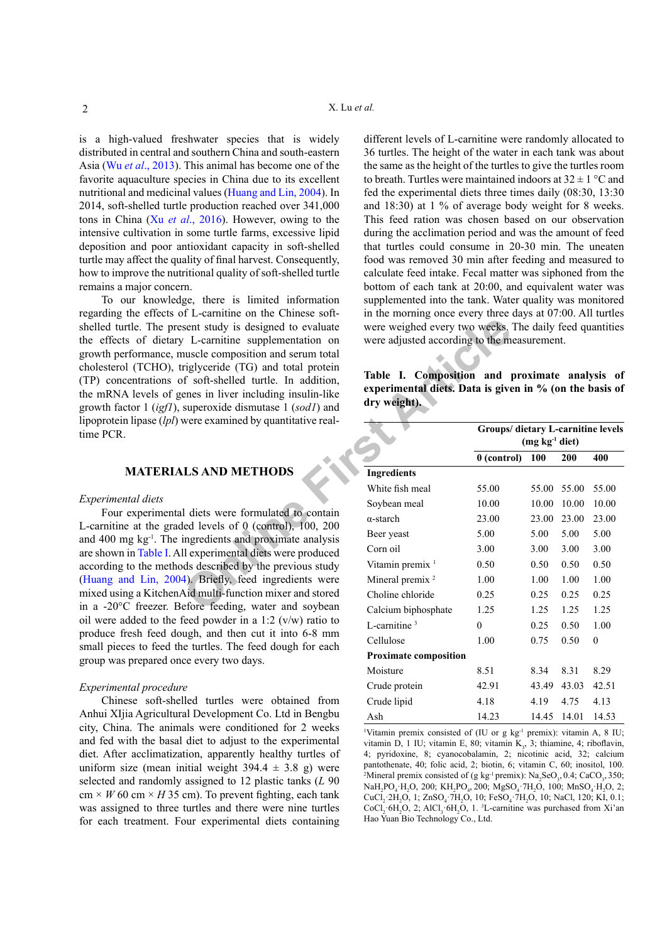is a high-valued freshwater species that is widely distributed in central and southern China and south-eastern Asia (Wu *et al*[., 2013](#page-7-3)). This animal has become one of the favorite aquaculture species in China due to its excellent nutritional and medicinal values [\(Huang and Lin, 2004\)](#page-6-4). In 2014, soft-shelled turtle production reached over 341,000 tons in China (Xu *et al*[., 2016\)](#page-7-4). However, owing to the intensive cultivation in some turtle farms, excessive lipid deposition and poor antioxidant capacity in soft-shelled turtle may affect the quality of final harvest. Consequently, how to improve the nutritional quality of soft-shelled turtle remains a major concern.

To our knowledge, there is limited information regarding the effects of L-carnitine on the Chinese softshelled turtle. The present study is designed to evaluate the effects of dietary L-carnitine supplementation on growth performance, muscle composition and serum total cholesterol (TCHO), triglyceride (TG) and total protein (TP) concentrations of soft-shelled turtle. In addition, the mRNA levels of genes in liver including insulin-like growth factor 1 (*igf1*), superoxide dismutase 1 (*sod1*) and lipoprotein lipase (*lpl*) were examined by quantitative realtime PCR.

# **MATERIALS AND METHODS**

#### *Experimental diets*

Four experimental diets were formulated to contain L-carnitine at the graded levels of 0 (control), 100, 200 and 400 mg  $kg<sup>-1</sup>$ . The ingredients and proximate analysis are shown in [Table I](#page-1-0). All experimental diets were produced according to the methods described by the previous study [\(Huang and Lin, 2004](#page-6-4)). Briefly, feed ingredients were mixed using a KitchenAid multi-function mixer and stored in a -20°C freezer. Before feeding, water and soybean oil were added to the feed powder in a 1:2 (v/w) ratio to produce fresh feed dough, and then cut it into 6-8 mm small pieces to feed the turtles. The feed dough for each group was prepared once every two days.

#### *Experimental procedure*

Chinese soft-shelled turtles were obtained from Anhui XIjia Agricultural Development Co. Ltd in Bengbu city, China. The animals were conditioned for 2 weeks and fed with the basal diet to adjust to the experimental diet. After acclimatization, apparently healthy turtles of uniform size (mean initial weight  $394.4 \pm 3.8$  g) were selected and randomly assigned to 12 plastic tanks (*L* 90  $cm \times W$  60 cm  $\times H$  35 cm). To prevent fighting, each tank was assigned to three turtles and there were nine turtles for each treatment. Four experimental diets containing different levels of L-carnitine were randomly allocated to 36 turtles. The height of the water in each tank was about the same as the height of the turtles to give the turtles room to breath. Turtles were maintained indoors at  $32 \pm 1$  °C and fed the experimental diets three times daily (08:30, 13:30 and 18:30) at 1 % of average body weight for 8 weeks. This feed ration was chosen based on our observation during the acclimation period and was the amount of feed that turtles could consume in 20-30 min. The uneaten food was removed 30 min after feeding and measured to calculate feed intake. Fecal matter was siphoned from the bottom of each tank at 20:00, and equivalent water was supplemented into the tank. Water quality was monitored in the morning once every three days at 07:00. All turtles were weighed every two weeks. The daily feed quantities were adjusted according to the measurement.

<span id="page-1-0"></span>

| Table I. Composition and proximate analysis of          |  |  |  |  |  |  |  |
|---------------------------------------------------------|--|--|--|--|--|--|--|
| experimental diets. Data is given in % (on the basis of |  |  |  |  |  |  |  |
| $\frac{dy}{dx}$ dry weight).                            |  |  |  |  |  |  |  |

| sent study is designed to evaluate<br>L-carnitine supplementation on<br>nuscle composition and serum total<br>riglyceride (TG) and total protein<br>f soft-shelled turtle. In addition,<br>enes in liver including insulin-like<br>superoxide dismutase 1 (sod1) and | were weighed every two weeks. The daily feed quantities<br>were adjusted according to the measurement.<br>Table I. Composition and proximate analysis of<br>experimental diets. Data is given in % (on the basis of<br>dry weight). |                                                        |       |             |              |  |  |
|----------------------------------------------------------------------------------------------------------------------------------------------------------------------------------------------------------------------------------------------------------------------|-------------------------------------------------------------------------------------------------------------------------------------------------------------------------------------------------------------------------------------|--------------------------------------------------------|-------|-------------|--------------|--|--|
| were examined by quantitative real-                                                                                                                                                                                                                                  |                                                                                                                                                                                                                                     | Groups/ dietary L-carnitine levels<br>$(mg kg-1 diet)$ |       |             |              |  |  |
|                                                                                                                                                                                                                                                                      |                                                                                                                                                                                                                                     | $0$ (control)                                          | 100   | 200         | 400          |  |  |
| <b>LS AND METHODS</b>                                                                                                                                                                                                                                                | <b>Ingredients</b>                                                                                                                                                                                                                  |                                                        |       |             |              |  |  |
|                                                                                                                                                                                                                                                                      | White fish meal                                                                                                                                                                                                                     | 55.00                                                  |       | 55.00 55.00 | 55.00        |  |  |
|                                                                                                                                                                                                                                                                      | Soybean meal                                                                                                                                                                                                                        | 10.00                                                  | 10.00 | 10.00       | 10.00        |  |  |
| I diets were formulated to contain                                                                                                                                                                                                                                   | $\alpha$ -starch                                                                                                                                                                                                                    | 23.00                                                  | 23.00 | 23.00       | 23.00        |  |  |
| led levels of 0 (control), 100, 200<br>ingredients and proximate analysis                                                                                                                                                                                            | Beer yeast                                                                                                                                                                                                                          | 5.00                                                   | 5.00  | 5.00        | 5.00         |  |  |
| Il experimental diets were produced                                                                                                                                                                                                                                  | Corn oil                                                                                                                                                                                                                            | 3.00                                                   | 3.00  | 3.00        | 3.00         |  |  |
| ds described by the previous study                                                                                                                                                                                                                                   | Vitamin premix <sup>1</sup>                                                                                                                                                                                                         | 0.50                                                   | 0.50  | 0.50        | 0.50         |  |  |
| 4). Briefly, feed ingredients were                                                                                                                                                                                                                                   | Mineral premix <sup>2</sup>                                                                                                                                                                                                         | 1.00                                                   | 1.00  | 1.00        | 1.00         |  |  |
| Aid multi-function mixer and stored                                                                                                                                                                                                                                  | Choline chloride                                                                                                                                                                                                                    | 0.25                                                   | 0.25  | 0.25        | 0.25         |  |  |
| efore feeding, water and soybean                                                                                                                                                                                                                                     | Calcium biphosphate                                                                                                                                                                                                                 | 1.25                                                   | 1.25  | 1.25        | 1.25         |  |  |
| feed powder in a 1:2 $(v/w)$ ratio to                                                                                                                                                                                                                                | L-carnitine $3$                                                                                                                                                                                                                     | $\overline{0}$                                         | 0.25  | 0.50        | 1.00         |  |  |
| ugh, and then cut it into 6-8 mm<br>e turtles. The feed dough for each                                                                                                                                                                                               | Cellulose                                                                                                                                                                                                                           | 1.00                                                   | 0.75  | 0.50        | $\mathbf{0}$ |  |  |
| ce every two days.                                                                                                                                                                                                                                                   | <b>Proximate composition</b>                                                                                                                                                                                                        |                                                        |       |             |              |  |  |
|                                                                                                                                                                                                                                                                      | Moisture                                                                                                                                                                                                                            | 8.51                                                   | 8.34  | 8.31        | 8.29         |  |  |
| P.                                                                                                                                                                                                                                                                   | Crude protein                                                                                                                                                                                                                       | 42.91                                                  | 43.49 | 43.03       | 42.51        |  |  |
| lled turtles were obtained from                                                                                                                                                                                                                                      | Crude lipid                                                                                                                                                                                                                         | 4.18                                                   | 4.19  | 4.75        | 4.13         |  |  |
| al Development Co. Ltd in Bengbu                                                                                                                                                                                                                                     | Ash                                                                                                                                                                                                                                 | 14.23                                                  | 14.45 | 14.01       | 14.53        |  |  |
|                                                                                                                                                                                                                                                                      |                                                                                                                                                                                                                                     |                                                        |       |             |              |  |  |

<sup>1</sup>Vitamin premix consisted of (IU or g kg<sup>-1</sup> premix): vitamin A, 8 IU; vitamin D, 1 IU; vitamin E, 80; vitamin  $K_3$ , 3; thiamine, 4; riboflavin, 4; pyridoxine, 8; cyanocobalamin, 2; nicotinic acid, 32; calcium pantothenate, 40; folic acid, 2; biotin, 6; vitamin C, 60; inositol, 100. <sup>2</sup>Mineral premix consisted of (g kg<sup>-1</sup> premix): Na<sub>2</sub>SeO<sub>3</sub>, 0.4; CaCO<sub>3</sub>, 350; NaH<sub>2</sub>PO<sub>4</sub> ·H<sub>2</sub>O, 200; KH<sub>2</sub>PO<sub>4</sub>, 200; MgSO<sub>4</sub> · 7H<sub>2</sub>O, 100; MnSO<sub>4</sub> ·H<sub>2</sub>O, 2; CuCl<sub>2</sub> 2H<sub>2</sub>O, 1; ZnSO<sub>4</sub> 7H<sub>2</sub>O, 10; FeSO<sub>4</sub> 7H<sub>2</sub>O, 10; NaCl, 120; KI, 0.1;  $CoCl<sub>2</sub>·6H<sub>2</sub>O$ , 2; AlCl<sub>3</sub>·6H<sub>2</sub>O, 1.<sup>3</sup>L-carnitine was purchased from Xi'an Hao Yuan Bio Technology Co., Ltd.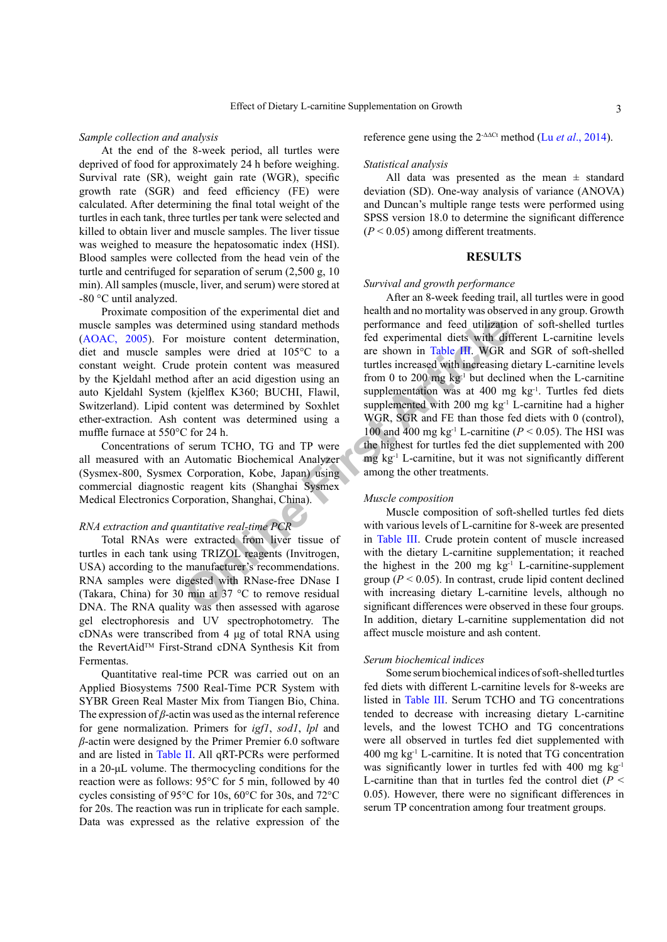#### *Sample collection and analysis*

At the end of the 8-week period, all turtles were deprived of food for approximately 24 h before weighing. Survival rate (SR), weight gain rate (WGR), specific growth rate (SGR) and feed efficiency (FE) were calculated. After determining the final total weight of the turtles in each tank, three turtles per tank were selected and killed to obtain liver and muscle samples. The liver tissue was weighed to measure the hepatosomatic index (HSI). Blood samples were collected from the head vein of the turtle and centrifuged for separation of serum (2,500 g, 10 min). All samples (muscle, liver, and serum) were stored at -80 °C until analyzed.

Proximate composition of the experimental diet and muscle samples was determined using standard methods ([AOAC, 2005](#page-5-0)). For moisture content determination, diet and muscle samples were dried at 105°C to a constant weight. Crude protein content was measured by the Kjeldahl method after an acid digestion using an auto Kjeldahl System (kjelflex K360; BUCHI, Flawil, Switzerland). Lipid content was determined by Soxhlet ether-extraction. Ash content was determined using a muffle furnace at 550°C for 24 h.

Concentrations of serum TCHO, TG and TP were all measured with an Automatic Biochemical Analyzer (Sysmex-800, Sysmex Corporation, Kobe, Japan) using commercial diagnostic reagent kits (Shanghai Sysmex Medical Electronics Corporation, Shanghai, China).

# *RNA extraction and quantitative real-time PCR*

Total RNAs were extracted from liver tissue of turtles in each tank using TRIZOL reagents (Invitrogen, USA) according to the manufacturer's recommendations. RNA samples were digested with RNase-free DNase I (Takara, China) for 30 min at 37 °C to remove residual DNA. The RNA quality was then assessed with agarose gel electrophoresis and UV spectrophotometry. The cDNAs were transcribed from 4 μg of total RNA using the RevertAid™ First-Strand cDNA Synthesis Kit from Fermentas.

Quantitative real-time PCR was carried out on an Applied Biosystems 7500 Real-Time PCR System with SYBR Green Real Master Mix from Tiangen Bio, China. The expression of *β*-actin was used as the internal reference for gene normalization. Primers for *igf1*, *sod1*, *lpl* and *β*-actin were designed by the Primer Premier 6.0 software and are listed in [Table II](#page-3-0). All qRT-PCRs were performed in a 20-μL volume. The thermocycling conditions for the reaction were as follows: 95°C for 5 min, followed by 40 cycles consisting of 95°C for 10s, 60°C for 30s, and 72°C for 20s. The reaction was run in triplicate for each sample. Data was expressed as the relative expression of the reference gene using the 2-ΔΔCt method (Lu *et al*[., 2014\)](#page-6-5).

# *Statistical analysis*

All data was presented as the mean  $\pm$  standard deviation (SD). One-way analysis of variance (ANOVA) and Duncan's multiple range tests were performed using SPSS version 18.0 to determine the significant difference  $(P < 0.05)$  among different treatments.

### **RESULTS**

#### *Survival and growth performance*

etermined using standard methods<br>
moisture content determination,<br>
fed experimental diets with diff<br>
ples were dried at 105°C to a<br>
er shown in Table **HI.** WGR a<br>
d after an acid digestion using an<br>
from 0 to 200 mg kg<sup>-1</sup> After an 8-week feeding trail, all turtles were in good health and no mortality was observed in any group. Growth performance and feed utilization of soft-shelled turtles fed experimental diets with different L-carnitine levels are shown in Table III. WGR and SGR of soft-shelled turtles increased with increasing dietary L-carnitine levels from 0 to 200 mg  $kg^{-1}$  but declined when the L-carnitine supplementation was at  $400$  mg kg<sup>-1</sup>. Turtles fed diets supplemented with 200 mg  $kg<sup>-1</sup>$  L-carnitine had a higher WGR, SGR and FE than those fed diets with 0 (control), 100 and 400 mg kg<sup>-1</sup> L-carnitine ( $P < 0.05$ ). The HSI was the highest for turtles fed the diet supplemented with 200 mg kg-1 L-carnitine, but it was not significantly different among the other treatments.

#### *Muscle composition*

Muscle composition of soft-shelled turtles fed diets with various levels of L-carnitine for 8-week are presented in Table III. Crude protein content of muscle increased with the dietary L-carnitine supplementation; it reached the highest in the  $200$  mg kg<sup>-1</sup> L-carnitine-supplement group ( $P < 0.05$ ). In contrast, crude lipid content declined with increasing dietary L-carnitine levels, although no significant differences were observed in these four groups. In addition, dietary L-carnitine supplementation did not affect muscle moisture and ash content.

#### *Serum biochemical indices*

Some serum biochemical indices of soft-shelled turtles fed diets with different L-carnitine levels for 8-weeks are listed in Table III. Serum TCHO and TG concentrations tended to decrease with increasing dietary L-carnitine levels, and the lowest TCHO and TG concentrations were all observed in turtles fed diet supplemented with 400 mg kg-1 L-carnitine. It is noted that TG concentration was significantly lower in turtles fed with 400 mg kg<sup>-1</sup> L-carnitine than that in turtles fed the control diet  $(P \leq$ 0.05). However, there were no significant differences in serum TP concentration among four treatment groups.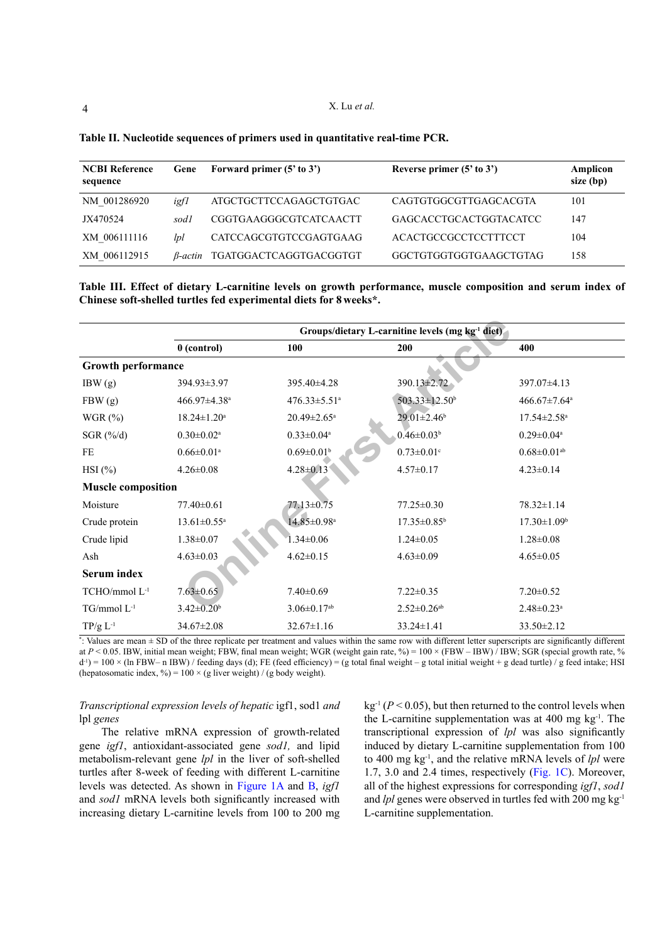| <b>NCBI Reference</b><br>sequence | Gene    | Forward primer $(5'$ to $3')$ | Reverse primer $(5'$ to $3')$ | Amplicon<br>size (bp) |
|-----------------------------------|---------|-------------------------------|-------------------------------|-----------------------|
| NM 001286920                      | igfl    | ATGCTGCTTCCAGAGCTGTGAC        | CAGTGTGGCGTTGAGCACGTA         | 101                   |
| JX470524                          | sodl    | <b>CGGTGAAGGGCGTCATCAACTT</b> | GAGCACCTGCACTGGTACATCC        | 147                   |
| XM 006111116                      | lpl     | CATCCAGCGTGTCCGAGTGAAG        | ACACTGCCGCCTCCTTTCCT          | 104                   |
| XM 006112915                      | B-actin | TGATGGACTCAGGTGACGGTGT        | GGCTGTGGTGGTGAAGCTGTAG        | 158                   |

<span id="page-3-0"></span>

| Table II. Nucleotide sequences of primers used in quantitative real-time PCR. |  |  |
|-------------------------------------------------------------------------------|--|--|
|                                                                               |  |  |

<span id="page-3-1"></span>**Table III. Effect of dietary L-carnitine levels on growth performance, muscle composition and serum index of Chinese soft-shelled turtles fed experimental diets for 8 weeks\*.**

|                           | Groups/dietary L-carnitine levels (mg kg <sup>-1</sup> diet) |                                |                               |                                |  |  |  |
|---------------------------|--------------------------------------------------------------|--------------------------------|-------------------------------|--------------------------------|--|--|--|
|                           | $0$ (control)                                                | 100                            | 200                           | 400                            |  |  |  |
| <b>Growth performance</b> |                                                              |                                |                               |                                |  |  |  |
| IBW(g)                    | 394.93±3.97                                                  | 395.40±4.28                    | 390.13±2.72                   | 397.07±4.13                    |  |  |  |
| FBW(g)                    | 466.97±4.38 <sup>a</sup>                                     | $476.33 \pm 5.51$ <sup>a</sup> | 503.33±12.50 <sup>b</sup>     | $466.67 \pm 7.64$ <sup>a</sup> |  |  |  |
| WGR $(\%)$                | $18.24 \pm 1.20^a$                                           | $20.49 \pm 2.65$ <sup>a</sup>  | $29.01 \pm 2.46$ <sup>b</sup> | $17.54 \pm 2.58$ <sup>a</sup>  |  |  |  |
| SGR $(\frac{\%}{d})$      | $0.30 \pm 0.02$ <sup>a</sup>                                 | $0.33 \pm 0.04$ <sup>a</sup>   | $0.46 \pm 0.03^b$             | $0.29 \pm 0.04$ <sup>a</sup>   |  |  |  |
| FE                        | $0.66 \pm 0.01$ <sup>a</sup>                                 | $0.69 \pm 0.01$ <sup>b</sup>   | $0.73 \pm 0.01$ °             | $0.68 \pm 0.01$ <sup>ab</sup>  |  |  |  |
| $HSI$ (%)                 | $4.26 \pm 0.08$                                              | $4.28 \pm 0.13$                | $4.57 \pm 0.17$               | $4.23 \pm 0.14$                |  |  |  |
| <b>Muscle composition</b> |                                                              |                                |                               |                                |  |  |  |
| Moisture                  | $77.40 \pm 0.61$                                             | 77.13±0.75                     | $77.25 \pm 0.30$              | 78.32±1.14                     |  |  |  |
| Crude protein             | $13.61 \pm 0.55$ <sup>a</sup>                                | 14.85±0.98 <sup>a</sup>        | $17.35 \pm 0.85^{\circ}$      | $17.30 \pm 1.09^{\circ}$       |  |  |  |
| Crude lipid               | $1.38 \pm 0.07$                                              | $1.34 \pm 0.06$                | $1.24 \pm 0.05$               | $1.28 \pm 0.08$                |  |  |  |
| Ash                       | $4.63 \pm 0.03$                                              | $4.62 \pm 0.15$                | $4.63 \pm 0.09$               | $4.65 \pm 0.05$                |  |  |  |
| <b>Serum index</b>        |                                                              |                                |                               |                                |  |  |  |
| TCHO/mmol L <sup>-1</sup> | $7.63 \pm 0.65$                                              | $7.40 \pm 0.69$                | $7.22 \pm 0.35$               | $7.20 \pm 0.52$                |  |  |  |
| $TG/mmol L^{-1}$          | $3.42 \pm 0.20^b$                                            | $3.06 \pm 0.17$ <sup>ab</sup>  | $2.52 \pm 0.26$ <sup>ab</sup> | $2.48 \pm 0.23$ <sup>a</sup>   |  |  |  |
| $TP/g L^{-1}$             | $34.67 \pm 2.08$                                             | $32.67 \pm 1.16$               | $33.24 \pm 1.41$              | $33.50 \pm 2.12$               |  |  |  |

\* : Values are mean ± SD of the three replicate per treatment and values within the same row with different letter superscripts are significantly different at  $P < 0.05$ . IBW, initial mean weight; FBW, final mean weight; WGR (weight gain rate, %) = 100 × (FBW – IBW) / IBW; SGR (special growth rate, %)  $d^{-1}$ ) = 100 × (ln FBW– n IBW) / feeding days (d); FE (feed efficiency) = (g total final weight – g total initial weight + g dead turtle) / g feed intake; HSI (hepatosomatic index, %) =  $100 \times$  (g liver weight) / (g body weight).

# *Transcriptional expression levels of hepatic* igf1, sod1 *and*  lpl *genes*

The relative mRNA expression of growth-related gene *igf1*, antioxidant-associated gene *sod1,* and lipid metabolism-relevant gene *lpl* in the liver of soft-shelled turtles after 8-week of feeding with different L-carnitine levels was detected. As shown in [Figure 1A](#page-4-0) and [B,](#page-4-0) *igf1* and *sod1* mRNA levels both significantly increased with increasing dietary L-carnitine levels from 100 to 200 mg  $kg<sup>-1</sup>$  ( $P < 0.05$ ), but then returned to the control levels when the L-carnitine supplementation was at 400 mg  $kg^{-1}$ . The transcriptional expression of *lpl* was also significantly induced by dietary L-carnitine supplementation from 100 to 400 mg kg-1, and the relative mRNA levels of *lpl* were 1.7, 3.0 and 2.4 times, respectively [\(Fig. 1C](#page-4-0)). Moreover, all of the highest expressions for corresponding *igf1*, *sod1* and *lpl* genes were observed in turtles fed with 200 mg kg-1 L-carnitine supplementation.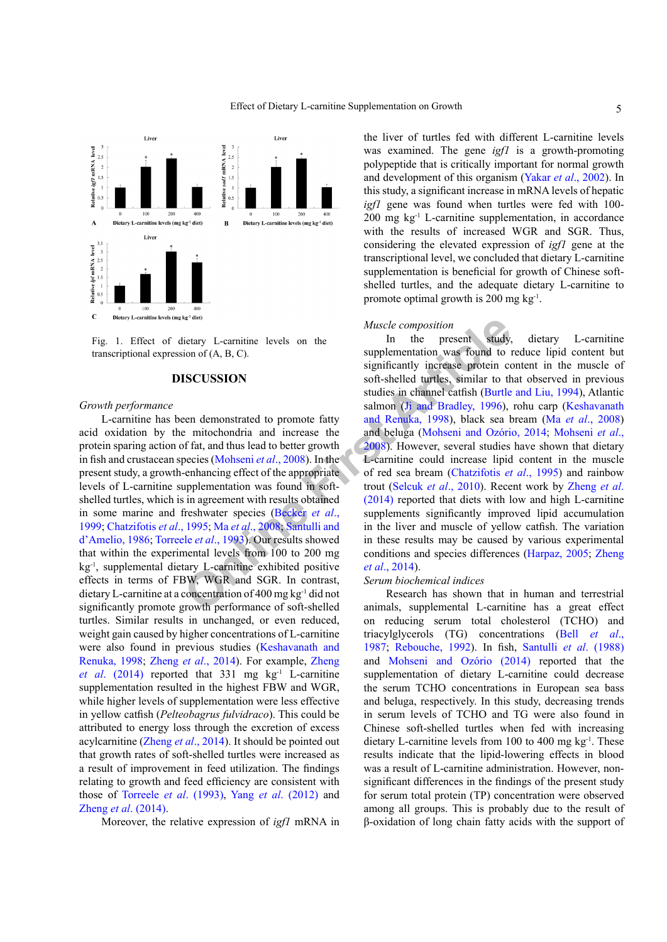

<span id="page-4-0"></span>Fig. 1. Effect of dietary L-carnitine levels on the transcriptional expression of (A, B, C).

## **DISCUSSION**

#### *Growth performance*

L-carnitine has been demonstrated to promote fatty acid oxidation by the mitochondria and increase the protein sparing action of fat, and thus lead to better growth in fish and crustacean species (Mohseni *et al*., 2008). In the present study, a growth-enhancing effect of the appropriate levels of L-carnitine supplementation was found in softshelled turtles, which is in agreement with results obtained in some marine and freshwater species (Becker *et al*., [1999;](#page-5-1) [Chatzifotis](#page-6-6) *et al*., 1995; Ma *et al*., 2008; Santulli and d'Amelio, 1986; Torreele *et al*., 1993). Our results showed that within the experimental levels from 100 to 200 mg kg-1, supplemental dietary L-carnitine exhibited positive effects in terms of FBW, WGR and SGR. In contrast, dietary L-carnitine at a concentration of 400 mg kg-1 did not significantly promote growth performance of soft-shelled turtles. Similar results in unchanged, or even reduced, weight gain caused by higher concentrations of L-carnitine were also found in previous studies [\(Keshavanath and](#page-6-7) [Renuka, 1998](#page-6-7); Zheng *et al*[., 2014](#page-7-0)). For example, [Zheng](#page-7-0) *et al.* (2014) reported that 331 mg kg<sup>-1</sup> L-carnitine supplementation resulted in the highest FBW and WGR, while higher levels of supplementation were less effective in yellow catfish (*Pelteobagrus fulvidraco*). This could be attributed to energy loss through the excretion of excess acylcarnitine [\(Zheng](#page-7-0) *et al*., 2014). It should be pointed out that growth rates of soft-shelled turtles were increased as a result of improvement in feed utilization. The findings relating to growth and feed efficiency are consistent with those of [Torreele](#page-7-5) *et al*. (1993), Yang *et al*[. \(2012\)](#page-7-2) and Zheng *et al*[. \(2014\).](#page-7-0)

Moreover, the relative expression of *igf1* mRNA in

the liver of turtles fed with different L-carnitine levels was examined. The gene *igf1* is a growth-promoting polypeptide that is critically important for normal growth and development of this organism (Yakar *et al*[., 2002](#page-7-6)). In this study, a significant increase in mRNA levels of hepatic *igf1* gene was found when turtles were fed with 100- 200 mg kg-1 L-carnitine supplementation, in accordance with the results of increased WGR and SGR. Thus, considering the elevated expression of *igf1* gene at the transcriptional level, we concluded that dietary L-carnitine supplementation is beneficial for growth of Chinese softshelled turtles, and the adequate dietary L-carnitine to promote optimal growth is 200 mg kg-1.

#### *Muscle composition*

*Musc[l](#page-7-5)[e](#page-5-1) composi[t](#page-6-7)ion*<br>
Muscle composition<br>
([in](#page-6-3) the p[r](#page-6-9)esent study,<br>
supplementation was found to 1<br>
SCUSSION<br>
SCUSSION<br>
Soft-shelled turtles, similar to the<br>
studies in channel catfish (Burtle<br>
ear demonstrated to promote fa In the present study, dietary L-carnitine supplementation was found to reduce lipid content but significantly increase protein content in the muscle of soft-shelled turtles, similar to that observed in previous studies in channel catfish ([Burtle and Liu, 1994](#page-6-8)), Atlantic salmon (Ji and Bradley, 1996), rohu carp ([Keshavanath](#page-6-7) and Renuka, 1998), black sea bream (Ma *et al*[., 2008\)](#page-6-3) and beluga (Mohseni and Ozório, 2014; [Mohseni](#page-6-2) *et al*., 2008). However, several studies have shown that dietary L-carnitine could increase lipid content in the muscle of red sea bream (Chatzifotis *et al*., 1995) and rainbow trout (Selcuk *et al*., 2010). Recent work by [Zheng](#page-7-0) *et al*. (2014) reported that diets with low and high L-carnitine supplements significantly improved lipid accumulation in the liver and muscle of yellow catfish. The variation in these results may be caused by various experimental conditions and species differences ([Harpaz, 2005](#page-6-0); [Zheng](#page-7-0) *et al*., 2014).

#### *Serum biochemical indices*

Research has shown that in human and terrestrial animals, supplemental L-carnitine has a great effect on reducing serum total cholesterol (TCHO) and triacylglycerols (TG) concentrations (Bell *[et al](#page-5-2)*., [1987;](#page-5-2) [Rebouche, 1992](#page-6-10)). In fish, Santulli *et al*. (1988) and Mohseni and Ozório (2014) reported that the supplementation of dietary L-carnitine could decrease the serum TCHO concentrations in European sea bass and beluga, respectively. In this study, decreasing trends in serum levels of TCHO and TG were also found in Chinese soft-shelled turtles when fed with increasing dietary L-carnitine levels from 100 to 400 mg  $kg^{-1}$ . These results indicate that the lipid-lowering effects in blood was a result of L-carnitine administration. However, nonsignificant differences in the findings of the present study for serum total protein (TP) concentration were observed among all groups. This is probably due to the result of β-oxidation of long chain fatty acids with the support of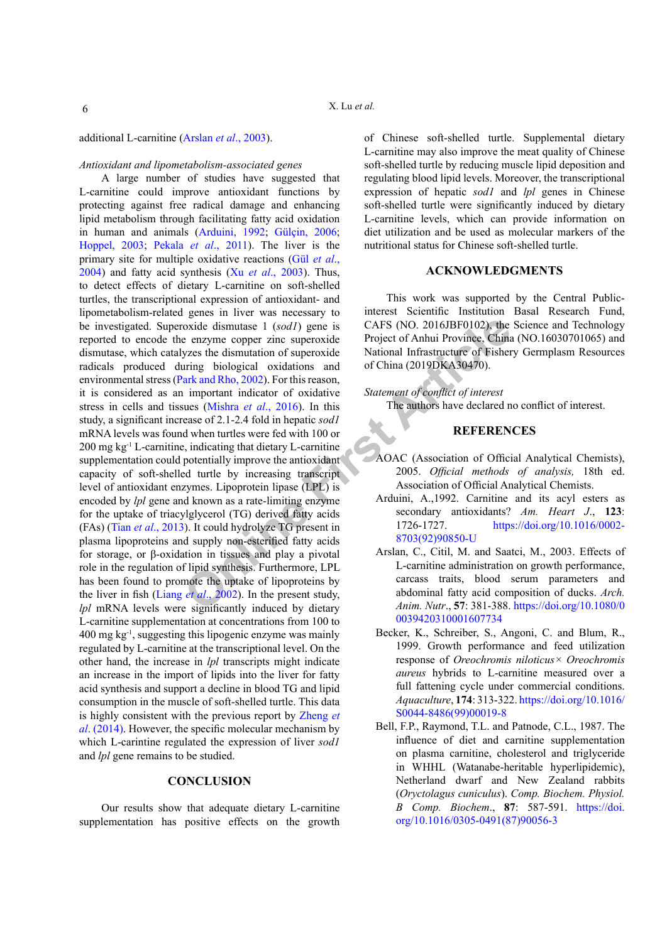#### *Antioxidant and lipometabolism-associated genes*

oxide dismutase 1 (sodl) gene is<br>
CAFS (N[O](#page-6-15). 2016JBF0102), the<br>
e enzyme copper zinc superoxide<br>
Project of Anhui Province, China<br>
zirg biological oxidations and<br>
ark article of Sisher articles of China (2019DKA30470).<br>
I A large number of studies have suggested that L-carnitine could improve antioxidant functions by protecting against free radical damage and enhancing lipid metabolism through facilitating fatty acid oxidation in human and animals ([Arduini, 1992](#page-5-4); Gülçin, 2006; [Hoppel, 2003;](#page-6-11) Pekala *et al*[., 2011](#page-6-12)). The liver is the primary site for multiple oxidative reactions (Gül *et al*., 2004) and fatty acid synthesis (Xu *et al*[., 2003\)](#page-7-8). Thus, to detect effects of dietary L-carnitine on soft-shelled turtles, the transcriptional expression of antioxidant- and lipometabolism-related genes in liver was necessary to be investigated. Superoxide dismutase 1 (*sod1*) gene is reported to encode the enzyme copper zinc superoxide dismutase, which catalyzes the dismutation of superoxide radicals produced during biological oxidations and environmental stress (Park and Rho, 2002). For this reason, it is considered as an important indicator of oxidative stress in cells and tissues (Mishra *et al*., 2016). In this study, a significant increase of 2.1-2.4 fold in hepatic *sod1* mRNA levels was found when turtles were fed with 100 or 200 mg kg-1 L-carnitine, indicating that dietary L-carnitine supplementation could potentially improve the antioxidant capacity of soft-shelled turtle by increasing transcript level of antioxidant enzymes. Lipoprotein lipase (LPL) is encoded by *lpl* gene and known as a rate-limiting enzyme for the uptake of triacylglycerol (TG) derived fatty acids (FAs) (Tian *et al*[., 2013\)](#page-7-9). It could hydrolyze TG present in plasma lipoproteins and supply non-esterified fatty acids for storage, or β-oxidation in tissues and play a pivotal role in the regulation of lipid synthesis. Furthermore, LPL has been found to promote the uptake of lipoproteins by the liver in fish (Liang *et al*., 2002). In the present study, *lpl* mRNA levels were significantly induced by dietary L-carnitine supplementation at concentrations from 100 to 400 mg kg-1, suggesting this lipogenic enzyme was mainly regulated by L-carnitine at the transcriptional level. On the other hand, the increase in *lpl* transcripts might indicate an increase in the import of lipids into the liver for fatty acid synthesis and support a decline in blood TG and lipid consumption in the muscle of soft-shelled turtle. This data is highly consistent with the previous report by [Zheng](#page-7-0) *et al*[. \(2014\)](#page-7-0). However, the specific molecular mechanism by which L-carintine regulated the expression of liver *sod1* and *lpl* gene remains to be studied.

## **CONCLUSION**

Our results show that adequate dietary L-carnitine supplementation has positive effects on the growth of Chinese soft-shelled turtle. Supplemental dietary L-carnitine may also improve the meat quality of Chinese soft-shelled turtle by reducing muscle lipid deposition and regulating blood lipid levels. Moreover, the transcriptional expression of hepatic *sod1* and *lpl* genes in Chinese soft-shelled turtle were significantly induced by dietary L-carnitine levels, which can provide information on diet utilization and be used as molecular markers of the

#### **ACKNOWLEDGMENTS**

nutritional status for Chinese soft-shelled turtle.

This work was supported by the Central Publicinterest Scientific Institution Basal Research Fund, CAFS (NO. 2016JBF0102), the Science and Technology Project of Anhui Province, China (NO.16030701065) and National Infrastructure of Fishery Germplasm Resources of China (2019DKA30470).

*Statement of conflict of interest*  The authors have declared no conflict of interest.

#### **REFERENCES**

- <span id="page-5-0"></span>AOAC (Association of Official Analytical Chemists), 2005. *Official methods of analysis,* 18th ed. Association of Official Analytical Chemists.
- <span id="page-5-4"></span>Arduini, A.,1992. Carnitine and its acyl esters as secondary antioxidants? *Am. Heart J*., **123**: 1726-1727. [https://doi.org/10.1016/0002-](https://doi.org/10.1016/0002-8703(92)90850-U) 8703(92)90850-U
- <span id="page-5-3"></span>Arslan, C., Citil, M. and Saatci, M., 2003. Effects of L-carnitine administration on growth performance, carcass traits, blood serum parameters and abdominal fatty acid composition of ducks. *Arch. Anim. Nutr*., **57**: 381-388. [https://doi.org/10.1080/0](https://doi.org/10.1080/00039420310001607734) [0039420310001607734](https://doi.org/10.1080/00039420310001607734)
- <span id="page-5-1"></span>Becker, K., Schreiber, S., Angoni, C. and Blum, R., 1999. Growth performance and feed utilization response of *Oreochromis niloticus× Oreochromis aureus* hybrids to L-carnitine measured over a full fattening cycle under commercial conditions. *Aquaculture*, **174**: 313-322. [https://doi.org/10.1016/](https://doi.org/10.1016/S0044-8486(99)00019-8) [S0044-8486\(99\)00019-8](https://doi.org/10.1016/S0044-8486(99)00019-8)
- <span id="page-5-2"></span>Bell, F.P., Raymond, T.L. and Patnode, C.L., 1987. The influence of diet and carnitine supplementation on plasma carnitine, cholesterol and triglyceride in WHHL (Watanabe-heritable hyperlipidemic), Netherland dwarf and New Zealand rabbits (*Oryctolagus cuniculus*). *Comp. Biochem. Physiol. B Comp. Biochem*., **87**: 587-591. [https://doi.](https://doi.org/10.1016/0305-0491(87)90056-3) [org/10.1016/0305-0491\(87\)90056-3](https://doi.org/10.1016/0305-0491(87)90056-3)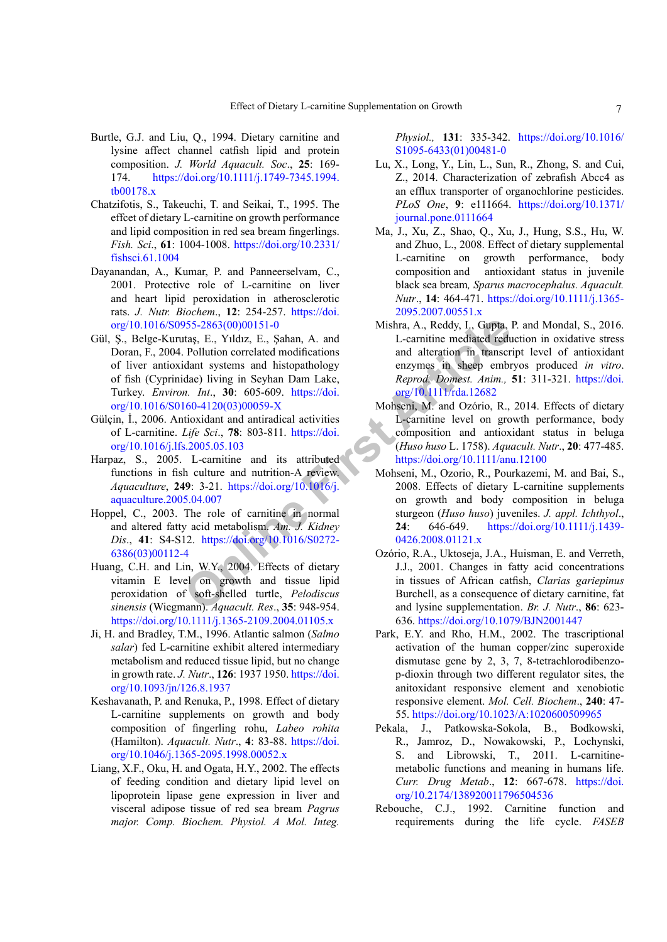- <span id="page-6-8"></span>Burtle, G.J. and Liu, Q., 1994. Dietary carnitine and lysine affect channel catfish lipid and protein composition. *J. World Aquacult. Soc*., **25**: 169- 174. [https://doi.org/10.1111/j.1749-7345.1994.](https://doi.org/10.1111/j.1749-7345.1994.tb00178.x) [tb00178.x](https://doi.org/10.1111/j.1749-7345.1994.tb00178.x)
- <span id="page-6-6"></span>Chatzifotis, S., Takeuchi, T. and Seikai, T., 1995. The effcet of dietary L-carnitine on growth performance and lipid composition in red sea bream fingerlings. *Fish. Sci*., **61**: 1004-1008. [https://doi.org/10.2331/](https://doi.org/10.2331/fishsci.61.1004) [fishsci.61.1004](https://doi.org/10.2331/fishsci.61.1004)
- <span id="page-6-1"></span>Dayanandan, A., Kumar, P. and Panneerselvam, C., 2001. Protective role of L-carnitine on liver and heart lipid peroxidation in atherosclerotic rats. *J. Nutr. Biochem*., **12**: 254-257. [https://doi.](https://doi.org/10.1016/S0955-2863(00)00151-0) [org/10.1016/S0955-2863\(00\)00151-0](https://doi.org/10.1016/S0955-2863(00)00151-0)
- 365-2863(00)00151-0<br>
14tas, E., Yıldız, E., Şahan, A. and<br>
1. Carnitine mediated reduced modifications<br>
1. Carnitine mediated reduced reduced modifications<br>
1. The Bullion correlated modifications<br>
1. The Bullion of the Bu Gül, Ş., Belge-Kurutaş, E., Yıldız, E., Şahan, A. and Doran, F., 2004. Pollution correlated modifications of liver antioxidant systems and histopathology of fish (Cyprinidae) living in Seyhan Dam Lake, Turkey. *Environ. Int*., **30**: 605-609. https://doi. [org/10.1016/S0160-4120\(03\)00059-X](https://doi.org/10.1016/S0160-4120(03)00059-X)
- Gülçin, İ., 2006. Antioxidant and antiradical activities of L-carnitine. *Life Sci*., **78**: 803-811. https://doi. [org/10.1016/j.lfs.2005.05.103](https://doi.org/10.1016/j.lfs.2005.05.103)
- <span id="page-6-0"></span>Harpaz, S., 2005. L-carnitine and its attributed functions in fish culture and nutrition-A review. *Aquaculture*, **249**: 3-21. https://doi.org/10.1016/j. [aquaculture.2005.04.007](https://doi.org/10.1016/j.aquaculture.2005.04.007)
- <span id="page-6-11"></span>Hoppel, C., 2003. The role of carnitine in normal and altered fatty acid metabolism. *Am. J. Kidney Dis*., **41**: S4-S12. https://doi.org/10.1016/S0272- [6386\(03\)00112-4](https://doi.org/10.1016/S0272-6386(03)00112-4)
- <span id="page-6-4"></span>Huang, C.H. and Lin, W.Y., 2004. Effects of dietary vitamin E level on growth and tissue lipid peroxidation of soft-shelled turtle, *Pelodiscus sinensis* (Wiegmann). *Aquacult. Res*., **35**: 948-954. <https://doi.org/10.1111/j.1365-2109.2004.01105.x>
- <span id="page-6-9"></span>Ji, H. and Bradley, T.M., 1996. Atlantic salmon (*Salmo salar*) fed L-carnitine exhibit altered intermediary metabolism and reduced tissue lipid, but no change in growth rate. *J. Nutr*., **126**: 1937 1950. [https://doi.](https://doi.org/10.1093/jn/126.8.1937) [org/10.1093/jn/126.8.1937](https://doi.org/10.1093/jn/126.8.1937)
- <span id="page-6-7"></span>Keshavanath, P. and Renuka, P., 1998. Effect of dietary L-carnitine supplements on growth and body composition of fingerling rohu, *Labeo rohita* (Hamilton). *Aquacult. Nutr*., **4**: 83-88. [https://doi.](https://doi.org/10.1046/j.1365-2095.1998.00052.x) [org/10.1046/j.1365-2095.1998.00052.x](https://doi.org/10.1046/j.1365-2095.1998.00052.x)
- <span id="page-6-15"></span>Liang, X.F., Oku, H. and Ogata, H.Y., 2002. The effects of feeding condition and dietary lipid level on lipoprotein lipase gene expression in liver and visceral adipose tissue of red sea bream *Pagrus major. Comp. Biochem. Physiol. A Mol. Integ.*

*Physiol.,* **131**: 335-342. [https://doi.org/10.1016/](https://doi.org/10.1016/S1095-6433(01)00481-0) [S1095-6433\(01\)00481-0](https://doi.org/10.1016/S1095-6433(01)00481-0)

- <span id="page-6-5"></span>Lu, X., Long, Y., Lin, L., Sun, R., Zhong, S. and Cui, Z., 2014. Characterization of zebrafish Abcc4 as an efflux transporter of organochlorine pesticides. *PLoS One*, **9**: e111664. [https://doi.org/10.1371/](https://doi.org/10.1371/journal.pone.0111664) [journal.pone.0111664](https://doi.org/10.1371/journal.pone.0111664)
- <span id="page-6-3"></span>Ma, J., Xu, Z., Shao, Q., Xu, J., Hung, S.S., Hu, W. and Zhuo, L., 2008. Effect of dietary supplemental L-carnitine on growth performance, body composition and antioxidant status in juvenile black sea bream*, Sparus macrocephalus. Aquacult. Nutr*., **14**: 464-471. [https://doi.org/10.1111/j.1365-](https://doi.org/10.1111/j.1365-2095.2007.00551.x) [2095.2007.00551.x](https://doi.org/10.1111/j.1365-2095.2007.00551.x)
- <span id="page-6-14"></span>Mishra, A., Reddy, I., Gupta, P. and Mondal, S., 2016. L-carnitine mediated reduction in oxidative stress and alteration in transcript level of antioxidant enzymes in sheep embryos produced *in vitro*. *Reprod. Domest. Anim.,* **51**: 311-321. [https://doi.](https://doi.org/10.1111/rda.12682) org/10.1111/rda.12682
- Mohseni, M. and Ozório, R., 2014. Effects of dietary L-carnitine level on growth performance, body composition and antioxidant status in beluga (*Huso huso* L. 1758). *Aquacult. Nutr*., **20**: 477-485. https://doi.org/10.1111/anu.12100
- <span id="page-6-2"></span>Mohseni, M., Ozorio, R., Pourkazemi, M. and Bai, S., 2008. Effects of dietary L-carnitine supplements on growth and body composition in beluga sturgeon (*Huso huso*) juveniles. *J. appl. Ichthyol*., **24**: 646-649. [https://doi.org/10.1111/j.1439-](https://doi.org/10.1111/j.1439-0426.2008.01121.x) 0426.2008.01121.x
- Ozório, R.A., Uktoseja, J.A., Huisman, E. and Verreth, J.J., 2001. Changes in fatty acid concentrations in tissues of African catfish, *Clarias gariepinus* Burchell, as a consequence of dietary carnitine, fat and lysine supplementation. *Br. J. Nutr*., **86**: 623- 636. <https://doi.org/10.1079/BJN2001447>
- <span id="page-6-13"></span>Park, E.Y. and Rho, H.M., 2002. The trascriptional activation of the human copper/zinc superoxide dismutase gene by 2, 3, 7, 8-tetrachlorodibenzop-dioxin through two different regulator sites, the anitoxidant responsive element and xenobiotic responsive element. *Mol. Cell. Biochem*., **240**: 47- 55. <https://doi.org/10.1023/A:1020600509965>
- <span id="page-6-12"></span>Pekala, J., Patkowska-Sokola, B., Bodkowski, R., Jamroz, D., Nowakowski, P., Lochynski, S. and Librowski, T., 2011. L-carnitinemetabolic functions and meaning in humans life. *Curr. Drug Metab*., **12**: 667-678. [https://doi.](https://doi.org/10.2174/138920011796504536) [org/10.2174/138920011796504536](https://doi.org/10.2174/138920011796504536)
- <span id="page-6-10"></span>Rebouche, C.J., 1992. Carnitine function and requirements during the life cycle. *FASEB*